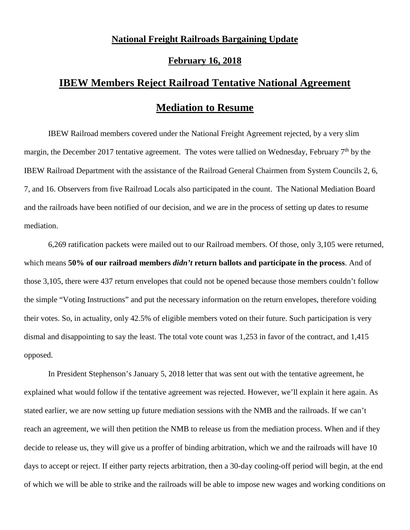## **National Freight Railroads Bargaining Update**

## **February 16, 2018**

## **IBEW Members Reject Railroad Tentative National Agreement**

## **Mediation to Resume**

IBEW Railroad members covered under the National Freight Agreement rejected, by a very slim margin, the December 2017 tentative agreement. The votes were tallied on Wednesday, February 7<sup>th</sup> by the IBEW Railroad Department with the assistance of the Railroad General Chairmen from System Councils 2, 6, 7, and 16. Observers from five Railroad Locals also participated in the count. The National Mediation Board and the railroads have been notified of our decision, and we are in the process of setting up dates to resume mediation.

6,269 ratification packets were mailed out to our Railroad members. Of those, only 3,105 were returned, which means **50% of our railroad members** *didn't* **return ballots and participate in the process**. And of those 3,105, there were 437 return envelopes that could not be opened because those members couldn't follow the simple "Voting Instructions" and put the necessary information on the return envelopes, therefore voiding their votes. So, in actuality, only 42.5% of eligible members voted on their future. Such participation is very dismal and disappointing to say the least. The total vote count was 1,253 in favor of the contract, and 1,415 opposed.

In President Stephenson's January 5, 2018 letter that was sent out with the tentative agreement, he explained what would follow if the tentative agreement was rejected. However, we'll explain it here again. As stated earlier, we are now setting up future mediation sessions with the NMB and the railroads. If we can't reach an agreement, we will then petition the NMB to release us from the mediation process. When and if they decide to release us, they will give us a proffer of binding arbitration, which we and the railroads will have 10 days to accept or reject. If either party rejects arbitration, then a 30-day cooling-off period will begin, at the end of which we will be able to strike and the railroads will be able to impose new wages and working conditions on